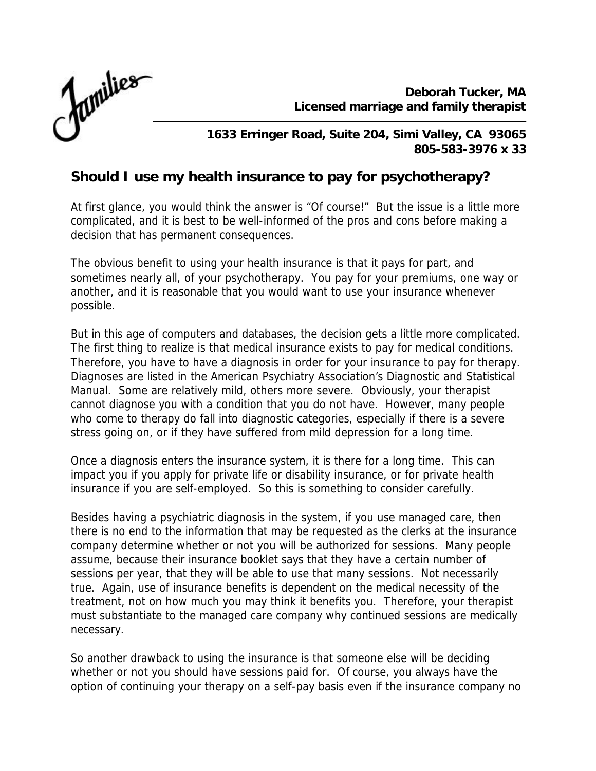*Deborah Tucker, MA Licensed marriage and family therapist*



*1633 Erringer Road, Suite 204, Simi Valley, CA 93065 805-583-3976 x 33*

## **Should I use my health insurance to pay for psychotherapy?**

At first glance, you would think the answer is "Of course!" But the issue is a little more complicated, and it is best to be well-informed of the pros and cons before making a decision that has permanent consequences.

The obvious benefit to using your health insurance is that it pays for part, and sometimes nearly all, of your psychotherapy. You pay for your premiums, one way or another, and it is reasonable that you would want to use your insurance whenever possible.

But in this age of computers and databases, the decision gets a little more complicated. The first thing to realize is that medical insurance exists to pay for medical conditions. Therefore, you have to have a diagnosis in order for your insurance to pay for therapy. Diagnoses are listed in the American Psychiatry Association's Diagnostic and Statistical Manual. Some are relatively mild, others more severe. Obviously, your therapist cannot diagnose you with a condition that you do not have. However, many people who come to therapy do fall into diagnostic categories, especially if there is a severe stress going on, or if they have suffered from mild depression for a long time.

Once a diagnosis enters the insurance system, it is there for a long time. This can impact you if you apply for private life or disability insurance, or for private health insurance if you are self-employed. So this is something to consider carefully.

Besides having a psychiatric diagnosis in the system, if you use managed care, then there is no end to the information that may be requested as the clerks at the insurance company determine whether or not you will be authorized for sessions. Many people assume, because their insurance booklet says that they have a certain number of sessions per year, that they will be able to use that many sessions. Not necessarily true. Again, use of insurance benefits is dependent on the medical necessity of the treatment, not on how much you may think it benefits you. Therefore, your therapist must substantiate to the managed care company why continued sessions are medically necessary.

So another drawback to using the insurance is that someone else will be deciding whether or not you should have sessions paid for. Of course, you always have the option of continuing your therapy on a self-pay basis even if the insurance company no